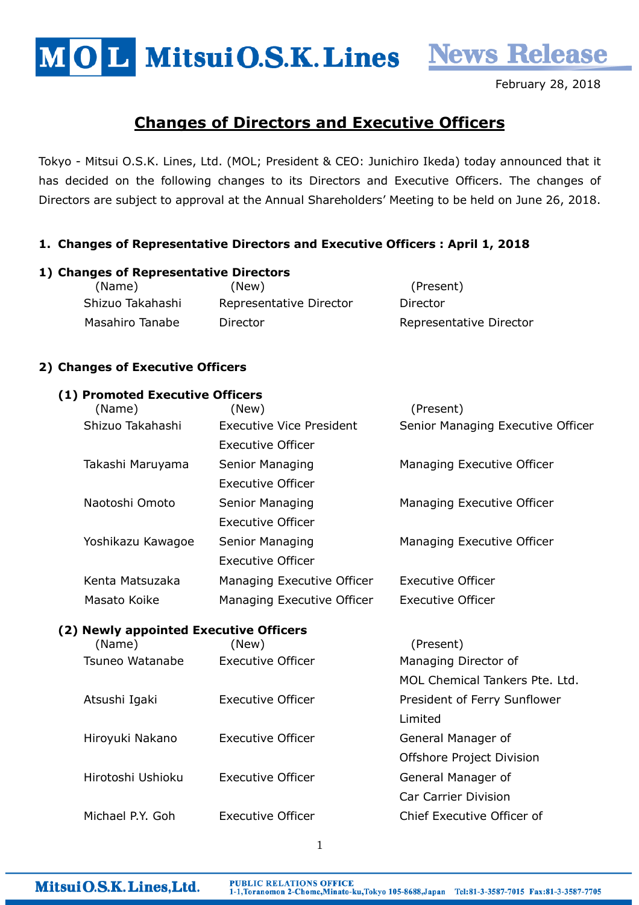MOL MitsuiO.S.K. Lines News Release

February 28, 2018

# Changes of Directors and Executive Officers

Tokyo - Mitsui O.S.K. Lines, Ltd. (MOL; President & CEO: Junichiro Ikeda) today announced that it has decided on the following changes to its Directors and Executive Officers. The changes of Directors are subject to approval at the Annual Shareholders' Meeting to be held on June 26, 2018.

### 1. Changes of Representative Directors and Executive Officers : April 1, 2018

#### 1) Changes of Representative Directors

(Name) (New) (Present) Shizuo Takahashi Representative Director Director Masahiro Tanabe Director **National Execution Contract Property** Representative Director

### 2) Changes of Executive Officers

#### (1) Promoted Executive Officers

| (Name)                                 | (New)                           | (Present)                         |
|----------------------------------------|---------------------------------|-----------------------------------|
| Shizuo Takahashi                       | <b>Executive Vice President</b> | Senior Managing Executive Officer |
|                                        | Executive Officer               |                                   |
| Takashi Maruyama                       | Senior Managing                 | Managing Executive Officer        |
|                                        | <b>Executive Officer</b>        |                                   |
| Naotoshi Omoto                         | Senior Managing                 | Managing Executive Officer        |
|                                        | <b>Executive Officer</b>        |                                   |
| Yoshikazu Kawagoe                      | Senior Managing                 | Managing Executive Officer        |
|                                        | <b>Executive Officer</b>        |                                   |
| Kenta Matsuzaka                        | Managing Executive Officer      | <b>Executive Officer</b>          |
| Masato Koike                           | Managing Executive Officer      | <b>Executive Officer</b>          |
| (2) Newly appointed Executive Officers |                                 |                                   |
| (Name)                                 | (New)                           | (Present)                         |
| Tsuneo Watanabe                        | <b>Executive Officer</b>        | Managing Director of              |
|                                        |                                 | MOL Chemical Tankers Pte. Ltd.    |
| Atsushi Igaki                          | <b>Executive Officer</b>        | President of Ferry Sunflower      |
|                                        |                                 | Limited                           |
| Hiroyuki Nakano                        | <b>Executive Officer</b>        | General Manager of                |
|                                        |                                 | Offshore Project Division         |
| Hirotoshi Ushioku                      | <b>Executive Officer</b>        | General Manager of                |

Michael P.Y. Goh Executive Officer Chief Executive Officer of

1

Car Carrier Division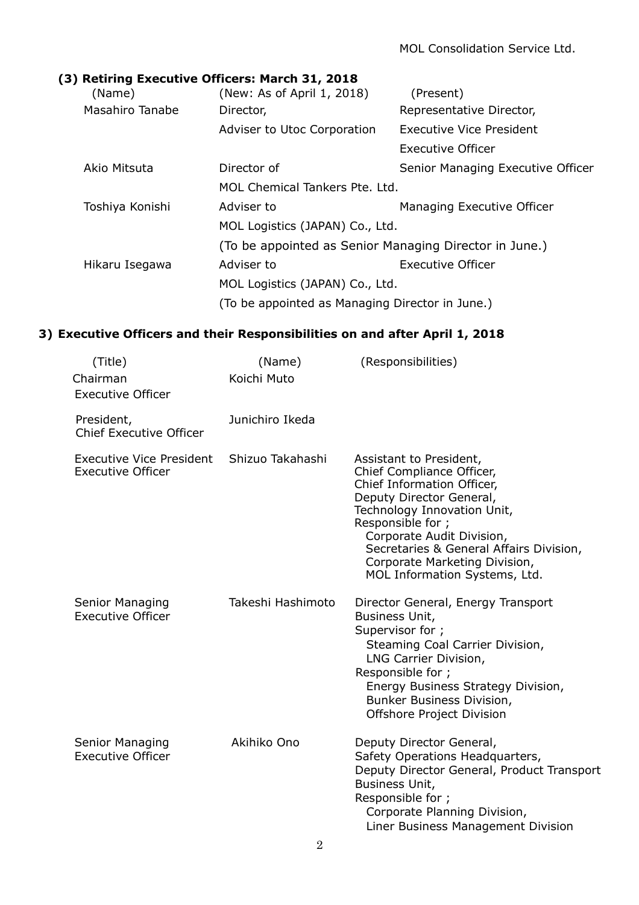### (3) Retiring Executive Officers: March 31, 2018

| (Name)          | (New: As of April 1, 2018)                             | (Present)                         |  |
|-----------------|--------------------------------------------------------|-----------------------------------|--|
| Masahiro Tanabe | Director,                                              | Representative Director,          |  |
|                 | Adviser to Utoc Corporation                            | <b>Executive Vice President</b>   |  |
|                 |                                                        | Executive Officer                 |  |
| Akio Mitsuta    | Director of                                            | Senior Managing Executive Officer |  |
|                 | MOL Chemical Tankers Pte. Ltd.                         |                                   |  |
| Toshiya Konishi | Adviser to                                             | Managing Executive Officer        |  |
|                 | MOL Logistics (JAPAN) Co., Ltd.                        |                                   |  |
|                 | (To be appointed as Senior Managing Director in June.) |                                   |  |
| Hikaru Isegawa  | Adviser to                                             | <b>Executive Officer</b>          |  |
|                 | MOL Logistics (JAPAN) Co., Ltd.                        |                                   |  |
|                 | (To be appointed as Managing Director in June.)        |                                   |  |

## 3) Executive Officers and their Responsibilities on and after April 1, 2018

| (Title)<br>Chairman<br><b>Executive Officer</b>      | (Name)<br>Koichi Muto | (Responsibilities)                                                                                                                                                                                                                                                                                           |
|------------------------------------------------------|-----------------------|--------------------------------------------------------------------------------------------------------------------------------------------------------------------------------------------------------------------------------------------------------------------------------------------------------------|
| President,<br><b>Chief Executive Officer</b>         | Junichiro Ikeda       |                                                                                                                                                                                                                                                                                                              |
| Executive Vice President<br><b>Executive Officer</b> | Shizuo Takahashi      | Assistant to President,<br>Chief Compliance Officer,<br>Chief Information Officer,<br>Deputy Director General,<br>Technology Innovation Unit,<br>Responsible for ;<br>Corporate Audit Division,<br>Secretaries & General Affairs Division,<br>Corporate Marketing Division,<br>MOL Information Systems, Ltd. |
| Senior Managing<br><b>Executive Officer</b>          | Takeshi Hashimoto     | Director General, Energy Transport<br>Business Unit,<br>Supervisor for ;<br>Steaming Coal Carrier Division,<br>LNG Carrier Division,<br>Responsible for ;<br>Energy Business Strategy Division,<br>Bunker Business Division,<br>Offshore Project Division                                                    |
| Senior Managing<br><b>Executive Officer</b>          | Akihiko Ono           | Deputy Director General,<br>Safety Operations Headquarters,<br>Deputy Director General, Product Transport<br>Business Unit,<br>Responsible for ;<br>Corporate Planning Division,<br>Liner Business Management Division                                                                                       |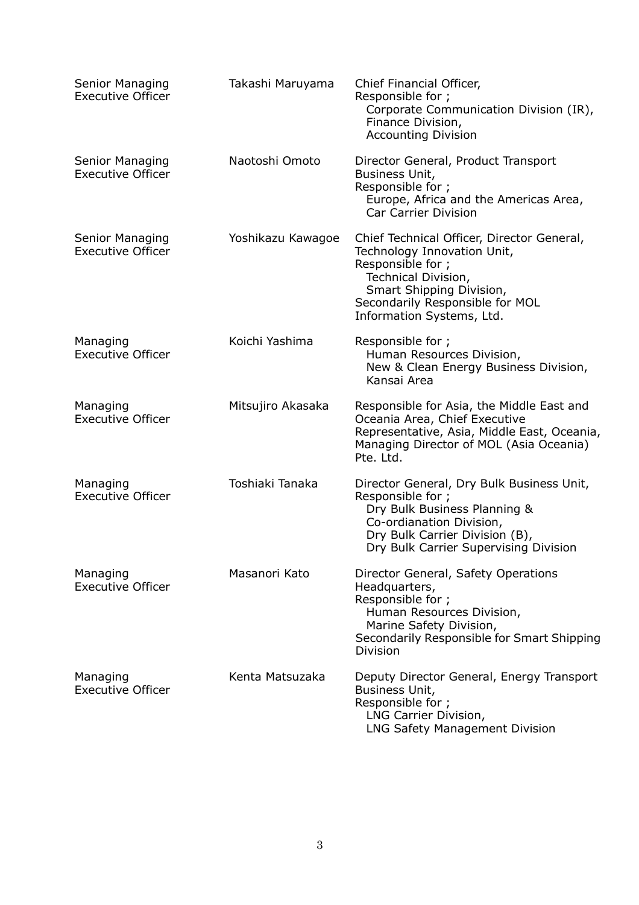| Senior Managing<br><b>Executive Officer</b> | Takashi Maruyama  | Chief Financial Officer,<br>Responsible for ;<br>Corporate Communication Division (IR),<br>Finance Division,<br><b>Accounting Division</b>                                                                        |
|---------------------------------------------|-------------------|-------------------------------------------------------------------------------------------------------------------------------------------------------------------------------------------------------------------|
| Senior Managing<br><b>Executive Officer</b> | Naotoshi Omoto    | Director General, Product Transport<br>Business Unit,<br>Responsible for ;<br>Europe, Africa and the Americas Area,<br><b>Car Carrier Division</b>                                                                |
| Senior Managing<br><b>Executive Officer</b> | Yoshikazu Kawagoe | Chief Technical Officer, Director General,<br>Technology Innovation Unit,<br>Responsible for ;<br>Technical Division,<br>Smart Shipping Division,<br>Secondarily Responsible for MOL<br>Information Systems, Ltd. |
| Managing<br><b>Executive Officer</b>        | Koichi Yashima    | Responsible for ;<br>Human Resources Division,<br>New & Clean Energy Business Division,<br>Kansai Area                                                                                                            |
| Managing<br><b>Executive Officer</b>        | Mitsujiro Akasaka | Responsible for Asia, the Middle East and<br>Oceania Area, Chief Executive<br>Representative, Asia, Middle East, Oceania,<br>Managing Director of MOL (Asia Oceania)<br>Pte. Ltd.                                 |
| Managing<br><b>Executive Officer</b>        | Toshiaki Tanaka   | Director General, Dry Bulk Business Unit,<br>Responsible for ;<br>Dry Bulk Business Planning &<br>Co-ordianation Division,<br>Dry Bulk Carrier Division (B),<br>Dry Bulk Carrier Supervising Division             |
| Managing<br><b>Executive Officer</b>        | Masanori Kato     | Director General, Safety Operations<br>Headquarters,<br>Responsible for ;<br>Human Resources Division,<br>Marine Safety Division,<br>Secondarily Responsible for Smart Shipping<br><b>Division</b>                |
| Managing<br><b>Executive Officer</b>        | Kenta Matsuzaka   | Deputy Director General, Energy Transport<br>Business Unit,<br>Responsible for ;<br>LNG Carrier Division,<br>LNG Safety Management Division                                                                       |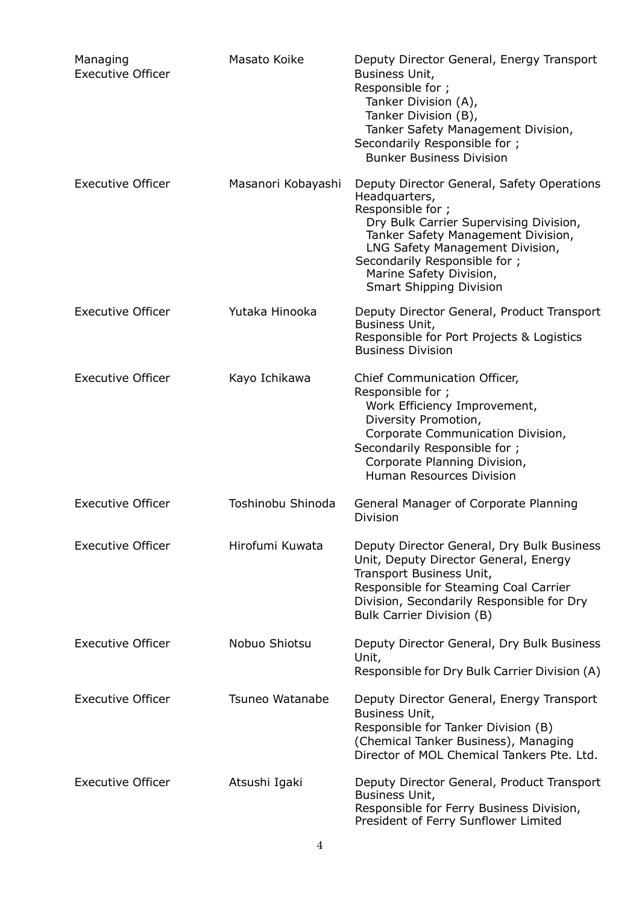| Managing<br><b>Executive Officer</b> | Masato Koike       | Deputy Director General, Energy Transport<br>Business Unit,<br>Responsible for ;<br>Tanker Division (A),<br>Tanker Division (B),<br>Tanker Safety Management Division,<br>Secondarily Responsible for;<br><b>Bunker Business Division</b>                                                        |
|--------------------------------------|--------------------|--------------------------------------------------------------------------------------------------------------------------------------------------------------------------------------------------------------------------------------------------------------------------------------------------|
| <b>Executive Officer</b>             | Masanori Kobayashi | Deputy Director General, Safety Operations<br>Headquarters,<br>Responsible for ;<br>Dry Bulk Carrier Supervising Division,<br>Tanker Safety Management Division,<br>LNG Safety Management Division,<br>Secondarily Responsible for;<br>Marine Safety Division,<br><b>Smart Shipping Division</b> |
| <b>Executive Officer</b>             | Yutaka Hinooka     | Deputy Director General, Product Transport<br>Business Unit,<br>Responsible for Port Projects & Logistics<br><b>Business Division</b>                                                                                                                                                            |
| <b>Executive Officer</b>             | Kayo Ichikawa      | Chief Communication Officer,<br>Responsible for ;<br>Work Efficiency Improvement,<br>Diversity Promotion,<br>Corporate Communication Division,<br>Secondarily Responsible for;<br>Corporate Planning Division,<br><b>Human Resources Division</b>                                                |
| <b>Executive Officer</b>             | Toshinobu Shinoda  | General Manager of Corporate Planning<br><b>Division</b>                                                                                                                                                                                                                                         |
| <b>Executive Officer</b>             | Hirofumi Kuwata    | Deputy Director General, Dry Bulk Business<br>Unit, Deputy Director General, Energy<br>Transport Business Unit,<br>Responsible for Steaming Coal Carrier<br>Division, Secondarily Responsible for Dry<br>Bulk Carrier Division (B)                                                               |
| <b>Executive Officer</b>             | Nobuo Shiotsu      | Deputy Director General, Dry Bulk Business<br>Unit,<br>Responsible for Dry Bulk Carrier Division (A)                                                                                                                                                                                             |
| <b>Executive Officer</b>             | Tsuneo Watanabe    | Deputy Director General, Energy Transport<br>Business Unit,<br>Responsible for Tanker Division (B)<br>(Chemical Tanker Business), Managing<br>Director of MOL Chemical Tankers Pte. Ltd.                                                                                                         |
| <b>Executive Officer</b>             | Atsushi Igaki      | Deputy Director General, Product Transport<br>Business Unit,<br>Responsible for Ferry Business Division,<br>President of Ferry Sunflower Limited                                                                                                                                                 |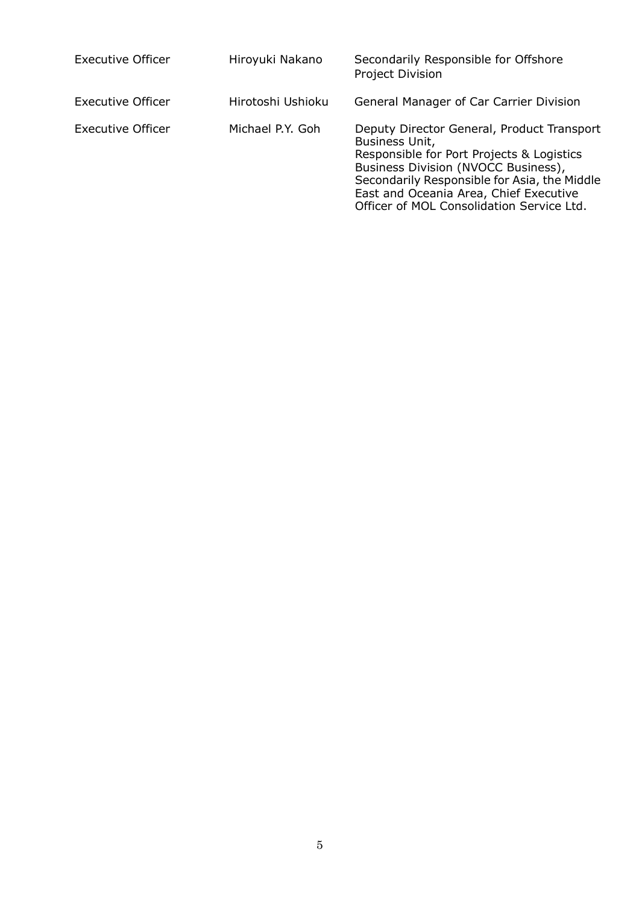| <b>Executive Officer</b> | Hiroyuki Nakano   | Secondarily Responsible for Offshore<br>Project Division                                                                                                                                                                                                                                |
|--------------------------|-------------------|-----------------------------------------------------------------------------------------------------------------------------------------------------------------------------------------------------------------------------------------------------------------------------------------|
| <b>Executive Officer</b> | Hirotoshi Ushioku | General Manager of Car Carrier Division                                                                                                                                                                                                                                                 |
| Executive Officer        | Michael P.Y. Goh  | Deputy Director General, Product Transport<br>Business Unit,<br>Responsible for Port Projects & Logistics<br>Business Division (NVOCC Business),<br>Secondarily Responsible for Asia, the Middle<br>East and Oceania Area, Chief Executive<br>Officer of MOL Consolidation Service Ltd. |